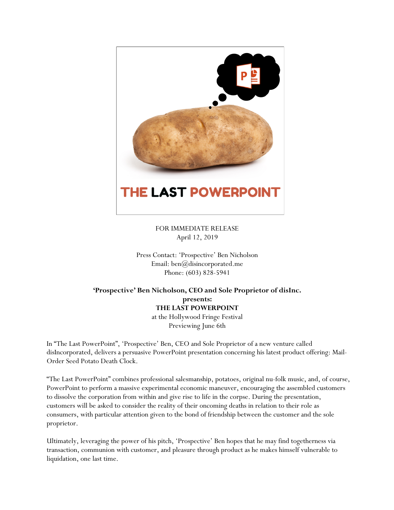

FOR IMMEDIATE RELEASE April 12, 2019

Press Contact: 'Prospective' Ben Nicholson Email: ben@disincorporated.me Phone: (603) 828-5941

## **'Prospective' Ben Nicholson, CEO and Sole Proprietor of disInc. presents: THE LAST POWERPOINT** at the Hollywood Fringe Festival

Previewing June 6th

In "The Last PowerPoint", 'Prospective' Ben, CEO and Sole Proprietor of a new venture called disIncorporated, delivers a persuasive PowerPoint presentation concerning his latest product offering: Mail-Order Seed Potato Death Clock.

"The Last PowerPoint" combines professional salesmanship, potatoes, original nu-folk music, and, of course, PowerPoint to perform a massive experimental economic maneuver, encouraging the assembled customers to dissolve the corporation from within and give rise to life in the corpse. During the presentation, customers will be asked to consider the reality of their oncoming deaths in relation to their role as consumers, with particular attention given to the bond of friendship between the customer and the sole proprietor.

Ultimately, leveraging the power of his pitch, 'Prospective' Ben hopes that he may find togetherness via transaction, communion with customer, and pleasure through product as he makes himself vulnerable to liquidation, one last time.